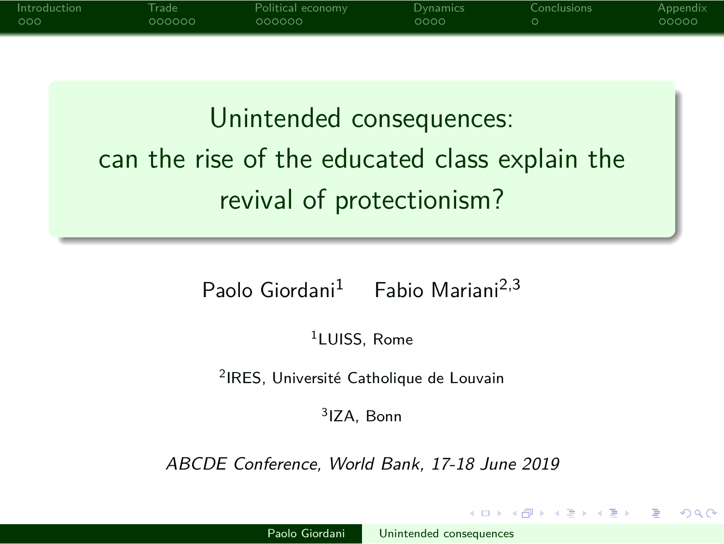# Unintended consequences:

Introduction Trade Political economy Dynamics Conclusions Appendix

can the rise of the educated class explain the revival of protectionism?

Paolo Giordani<sup>1</sup> Fabio Mariani<sup>2,3</sup>

<sup>1</sup>LUISS, Rome

<sup>2</sup>IRES, Université Catholique de Louvain

3 IZA, Bonn

ABCDE Conference, World Bank, 17-18 June 2019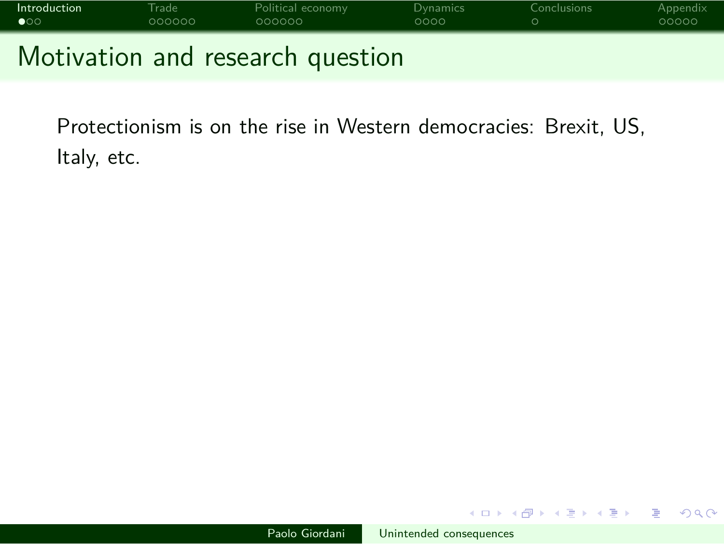

Protectionism is on the rise in Western democracies: Brexit, US, Italy, etc.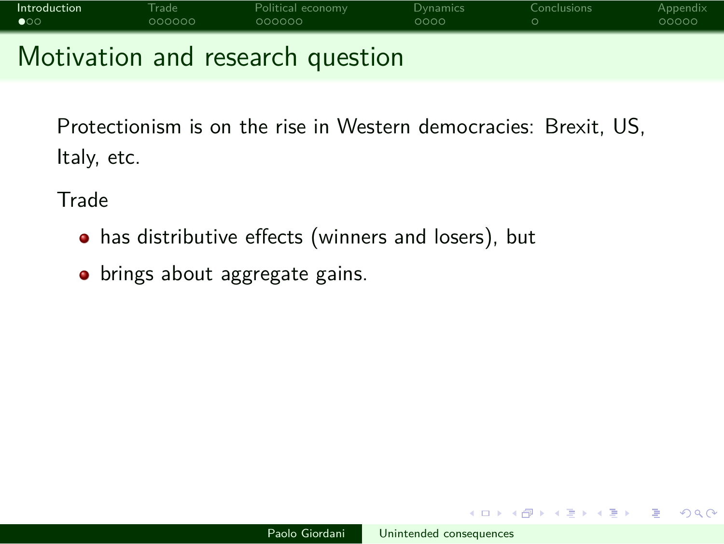### **Introduction** Trade Political economy Dynamics Conclusions Appendix Motivation and research question

Protectionism is on the rise in Western democracies: Brexit, US, Italy, etc.

**Trade** 

- has distributive effects (winners and losers), but
- brings about aggregate gains.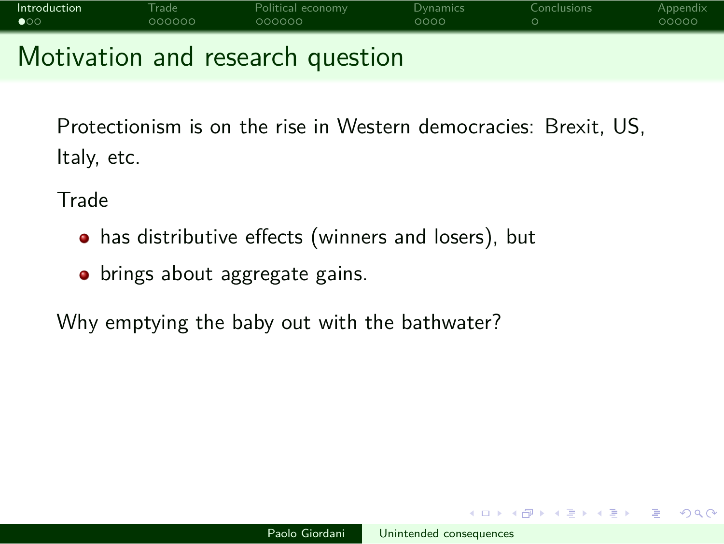Motivation and research question

Protectionism is on the rise in Western democracies: Brexit, US, Italy, etc.

**Trade** 

- has distributive effects (winners and losers), but
- brings about aggregate gains.

Why emptying the baby out with the bathwater?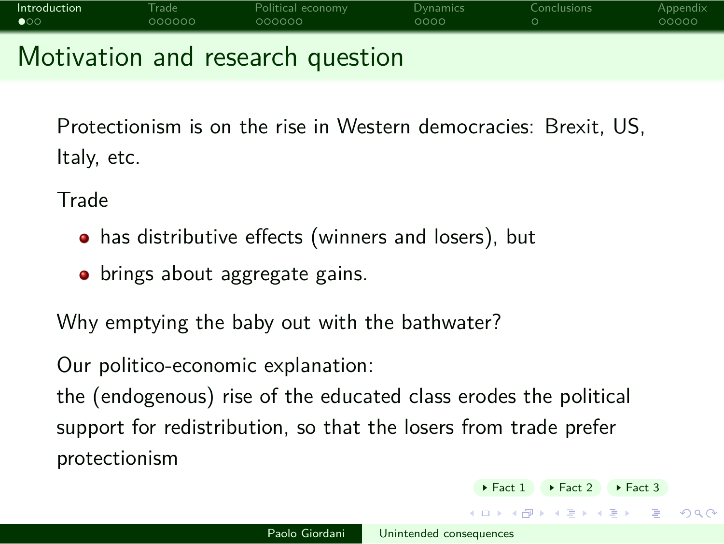Motivation and research question

Protectionism is on the rise in Western democracies: Brexit, US, Italy, etc.

**Trade** 

- has distributive effects (winners and losers), but
- **•** brings about aggregate gains.

Why emptying the baby out with the bathwater?

Our politico-economic explanation:

the (endogenous) rise of the educated class erodes the political support for redistribution, so that the losers from trade prefer protectionism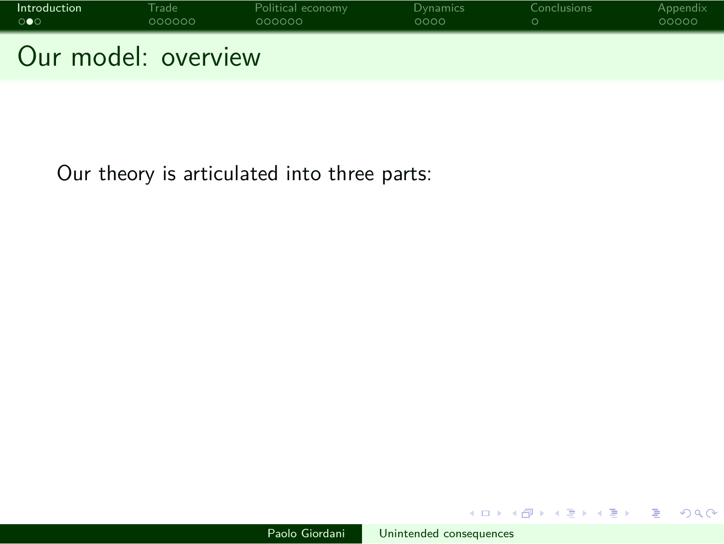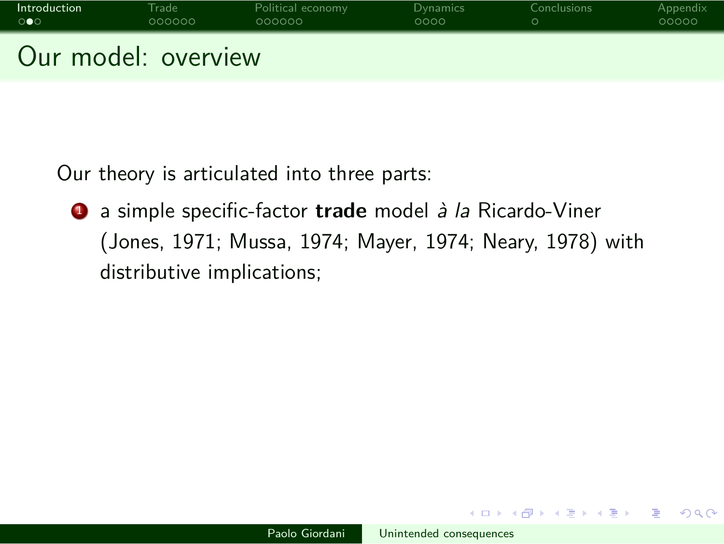

<sup>1</sup> a simple specific-factor **trade** model à la Ricardo-Viner (Jones, 1971; Mussa, 1974; Mayer, 1974; Neary, 1978) with distributive implications;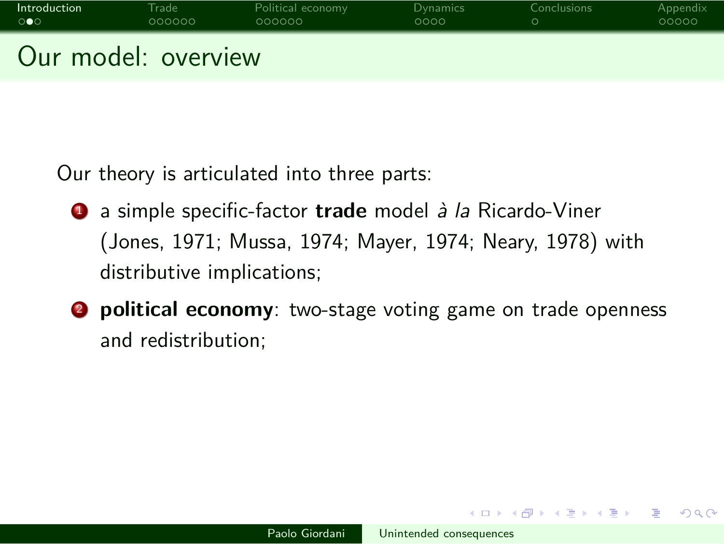

- <sup>1</sup> a simple specific-factor **trade** model à la Ricardo-Viner (Jones, 1971; Mussa, 1974; Mayer, 1974; Neary, 1978) with distributive implications;
- **2 political economy**: two-stage voting game on trade openness and redistribution;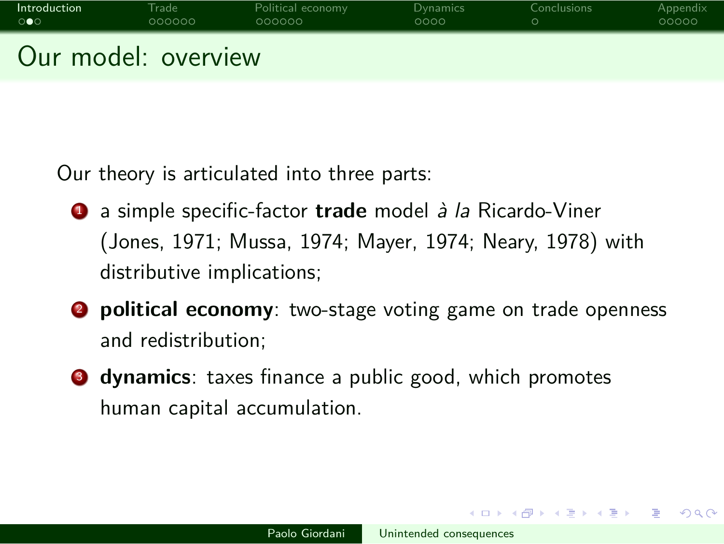

- <sup>1</sup> a simple specific-factor **trade** model à la Ricardo-Viner (Jones, 1971; Mussa, 1974; Mayer, 1974; Neary, 1978) with distributive implications;
- **2 political economy**: two-stage voting game on trade openness and redistribution;
- **3** dynamics: taxes finance a public good, which promotes human capital accumulation.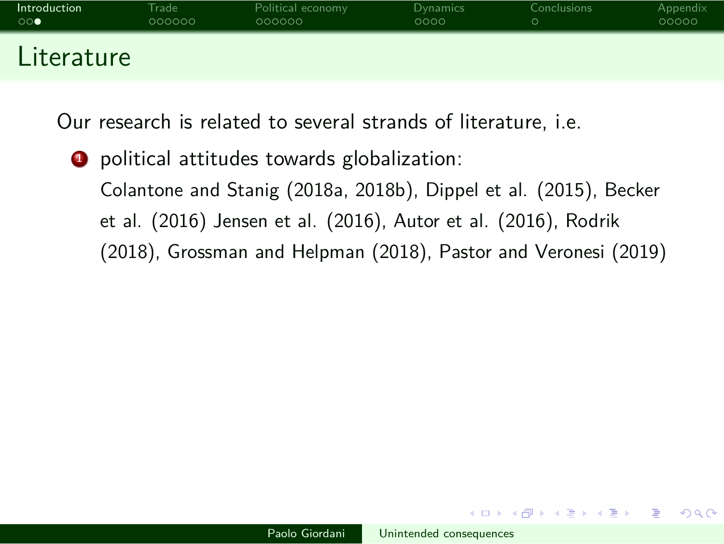Our research is related to several strands of literature, i.e.

<sup>1</sup> political attitudes towards globalization: Colantone and Stanig (2018a, 2018b), Dippel et al. (2015), Becker et al. (2016) Jensen et al. (2016), Autor et al. (2016), Rodrik (2018), Grossman and Helpman (2018), Pastor and Veronesi (2019)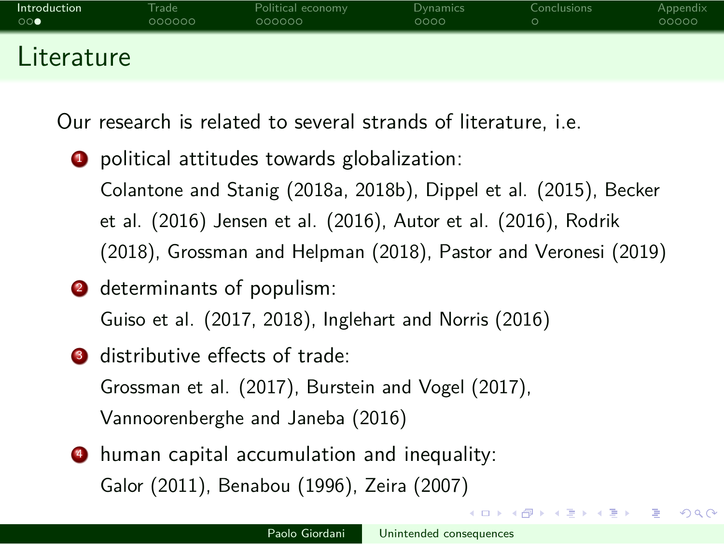Our research is related to several strands of literature, i.e.

**1** political attitudes towards globalization: Colantone and Stanig (2018a, 2018b), Dippel et al. (2015), Becker et al. (2016) Jensen et al. (2016), Autor et al. (2016), Rodrik (2018), Grossman and Helpman (2018), Pastor and Veronesi (2019)

- <sup>2</sup> determinants of populism: Guiso et al. (2017, 2018), Inglehart and Norris (2016)
- **3** distributive effects of trade: Grossman et al. (2017), Burstein and Vogel (2017), Vannoorenberghe and Janeba (2016)
- <sup>4</sup> human capital accumulation and inequality: Galor (2011), Benabou (1996), Zeira (2007)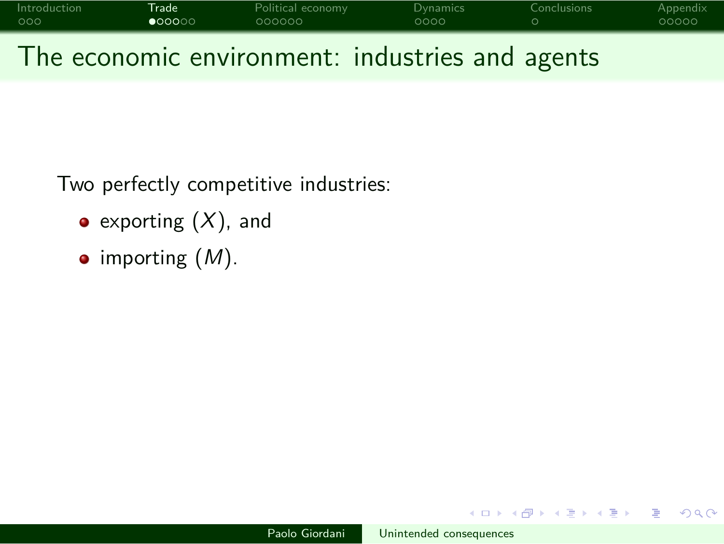

The economic environment: industries and agents

Two perfectly competitive industries:

- $\bullet$  exporting  $(X)$ , and
- $\bullet$  importing  $(M)$ .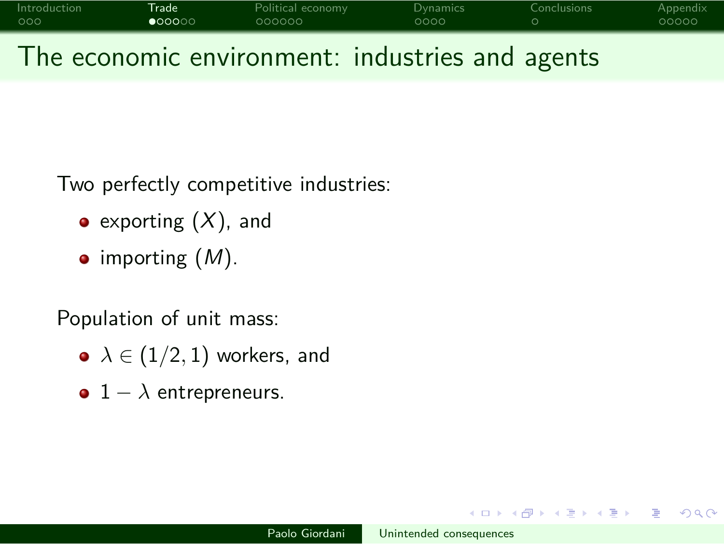| Introduction | <b>Trade</b>    | Political economy | Dynamics | Conclusions | Appendix |
|--------------|-----------------|-------------------|----------|-------------|----------|
| 000          | $\bullet$ 00000 | 000000            | 0000     |             | 00000    |
| $-$          |                 |                   |          |             |          |

The economic environment: industries and agents

Two perfectly competitive industries:

- exporting  $(X)$ , and
- $\bullet$  importing  $(M)$ .

Population of unit mass:

- *λ ∈* (1*/*2*,* 1) workers, and
- 1 *− λ* entrepreneurs.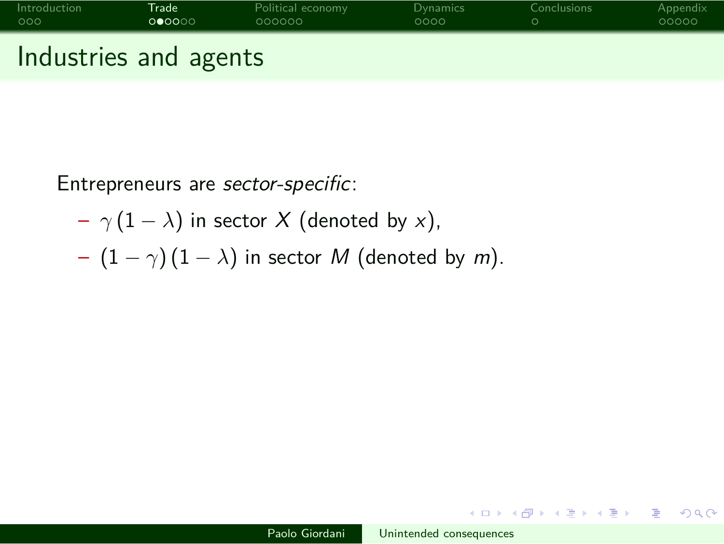

Entrepreneurs are sector-specific:

- *γ* (1 *− λ*) in sector X (denoted by x),
- (1 *− γ*) (1 *− λ*) in sector M (denoted by m).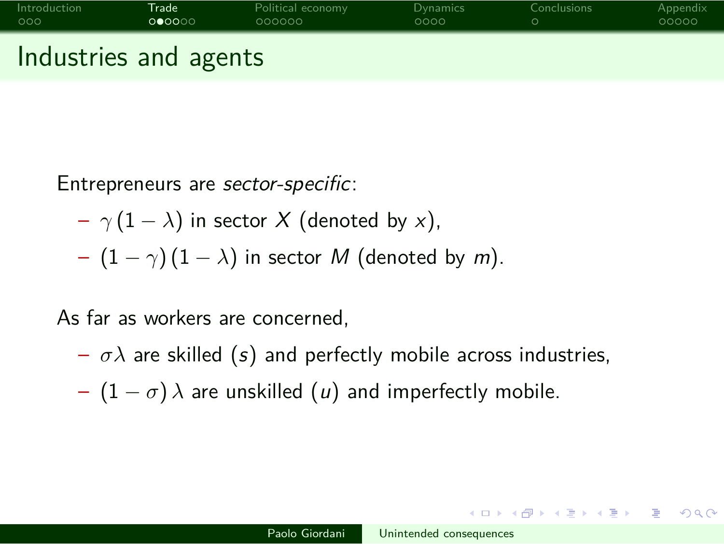# Introduction **Trade** Political economy Dynamics Conclusions Appendix Industries and agents

Entrepreneurs are sector-specific:

- *γ* (1 *− λ*) in sector X (denoted by x),
- (1 *− γ*) (1 *− λ*) in sector M (denoted by m).

As far as workers are concerned,

- $-\sigma\lambda$  are skilled (s) and perfectly mobile across industries,
- (1 *− σ*) *λ* are unskilled (u) and imperfectly mobile.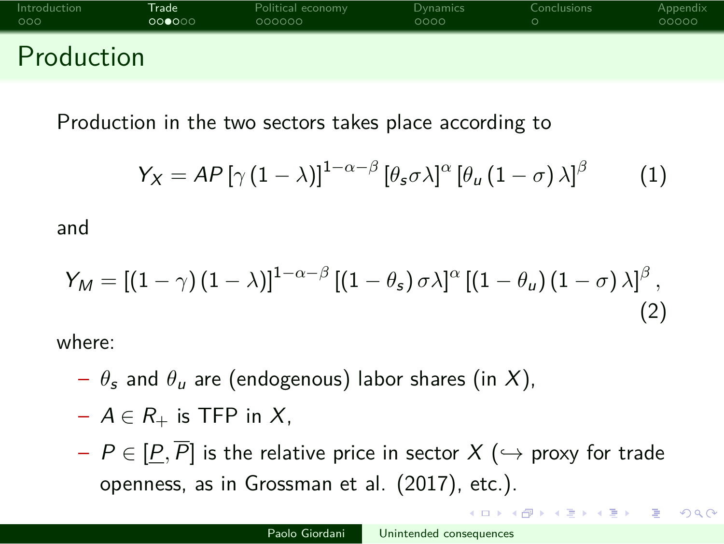Production in the two sectors takes place according to

$$
Y_X = AP\left[\gamma\left(1-\lambda\right)\right]^{1-\alpha-\beta}\left[\theta_s\sigma\lambda\right]^\alpha\left[\theta_u\left(1-\sigma\right)\lambda\right]^\beta\tag{1}
$$

and

$$
Y_M = \left[ (1 - \gamma) (1 - \lambda) \right]^{1 - \alpha - \beta} \left[ (1 - \theta_s) \sigma \lambda \right]^\alpha \left[ (1 - \theta_u) (1 - \sigma) \lambda \right]^\beta, \tag{2}
$$

where:

- $\theta_s$  and  $\theta_u$  are (endogenous) labor shares (in X),
- A *∈* R<sup>+</sup> is TFP in X,
- P *∈* [P*,* P] is the relative price in sector X (*,→* proxy for trade openness, as in Grossman et al. (2017), etc.).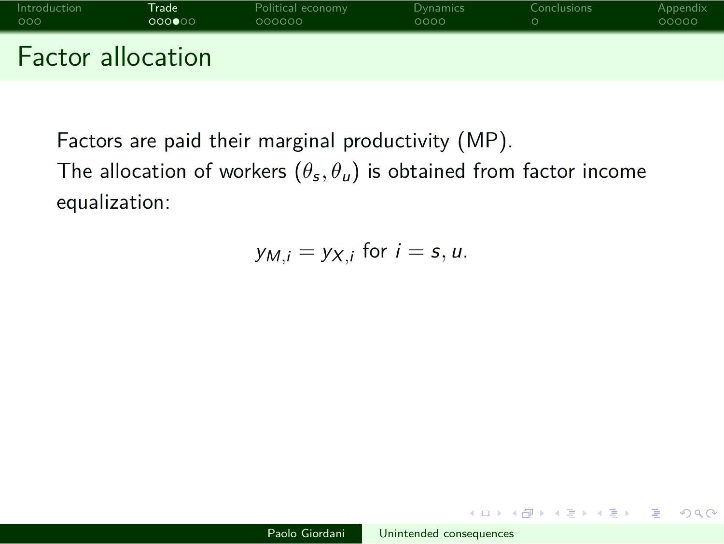

Factors are paid their marginal productivity (MP). The allocation of workers  $(\theta_{\bm{s}},\theta_{\bm{u}})$  is obtained from factor income

equalization:

$$
y_{M,i}=y_{X,i} \text{ for } i=s,u.
$$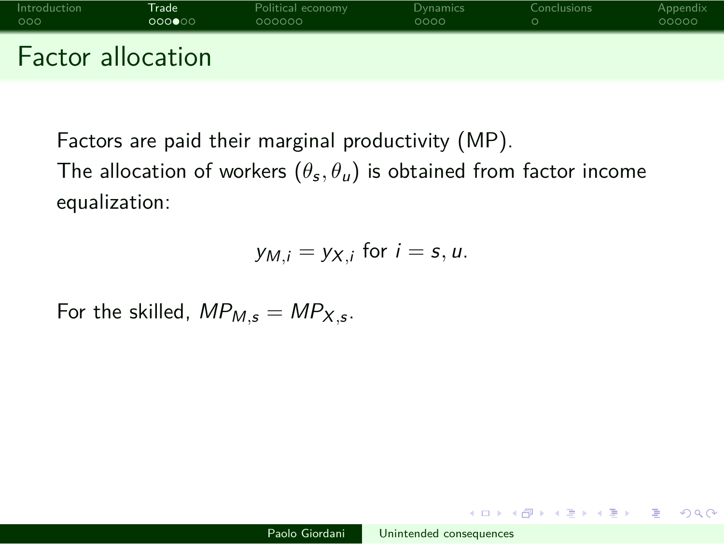

Factors are paid their marginal productivity (MP).

The allocation of workers  $(\theta_{\bm{s}},\theta_{\bm{u}})$  is obtained from factor income equalization:

$$
y_{M,i}=y_{X,i} \text{ for } i=s,u.
$$

For the skilled,  $MP_{M,s} = MP_{X,s}$ .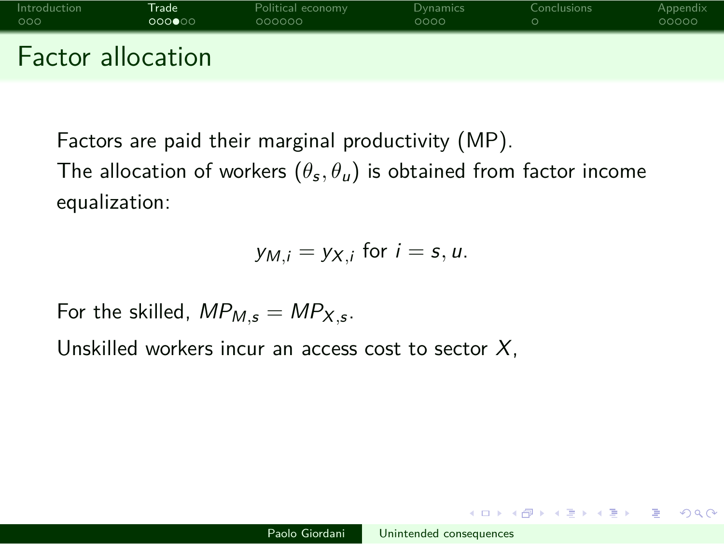## Introduction **Trade** Political economy Dynamics Conclusions Appendix Factor allocation

Factors are paid their marginal productivity (MP). The allocation of workers  $(\theta_{\bm{s}},\theta_{\bm{u}})$  is obtained from factor income equalization:

$$
y_{M,i}=y_{X,i} \text{ for } i=s,u.
$$

For the skilled,  $MP_{M,s} = MP_{X,s}$ .

Unskilled workers incur an access cost to sector  $X$ ,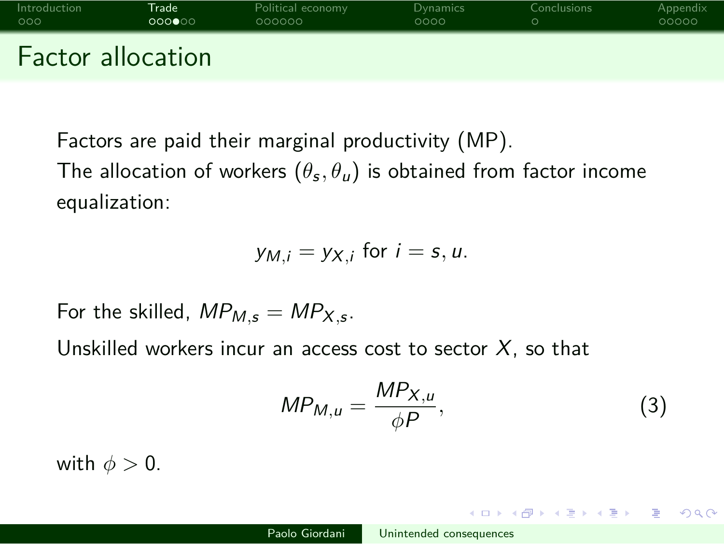### Introduction **Trade** Political economy Dynamics Conclusions Appendix Factor allocation

Factors are paid their marginal productivity (MP).

The allocation of workers  $(\theta_{\bm{s}},\theta_{\bm{u}})$  is obtained from factor income equalization:

$$
y_{M,i}=y_{X,i} \text{ for } i=s,u.
$$

For the skilled,  $MP_{M,s} = MP_{X,s}$ .

Unskilled workers incur an access cost to sector  $X$ , so that

$$
MP_{M,u} = \frac{MP_{X,u}}{\phi P},\tag{3}
$$

with  $\phi > 0$ .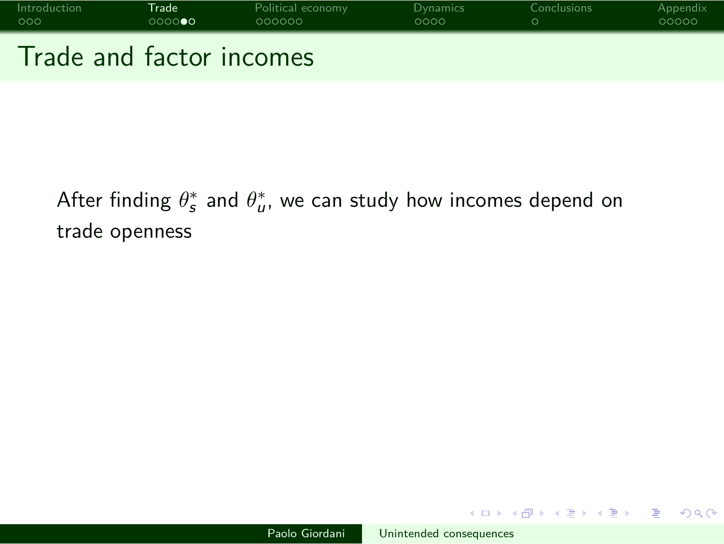

After finding  $\theta_{\mathfrak{s}}^*$  and  $\theta_{\mathfrak{u}}^*$ , we can study how incomes depend on trade openness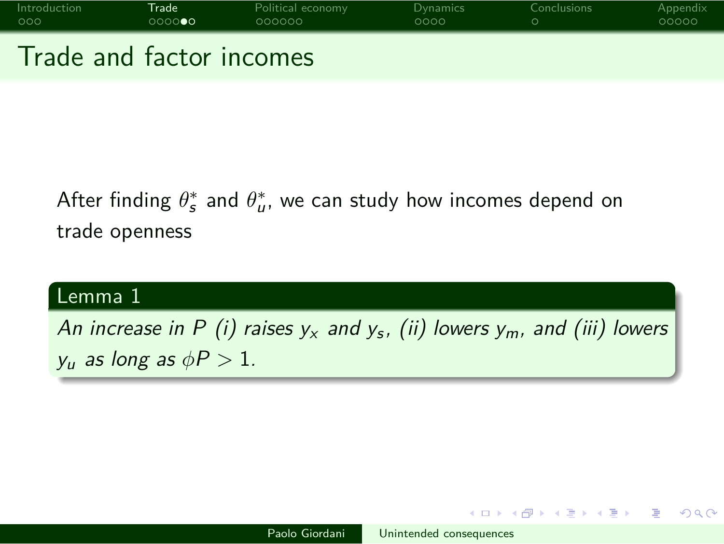

After finding  $\theta_{\mathfrak{s}}^*$  and  $\theta_{\mathfrak{u}}^*$ , we can study how incomes depend on trade openness

Lemma 1 An increase in P (i) raises  $y_x$  and  $y_s$ , (ii) lowers  $y_m$ , and (iii) lowers  $y_u$  as long as  $\phi P > 1$ .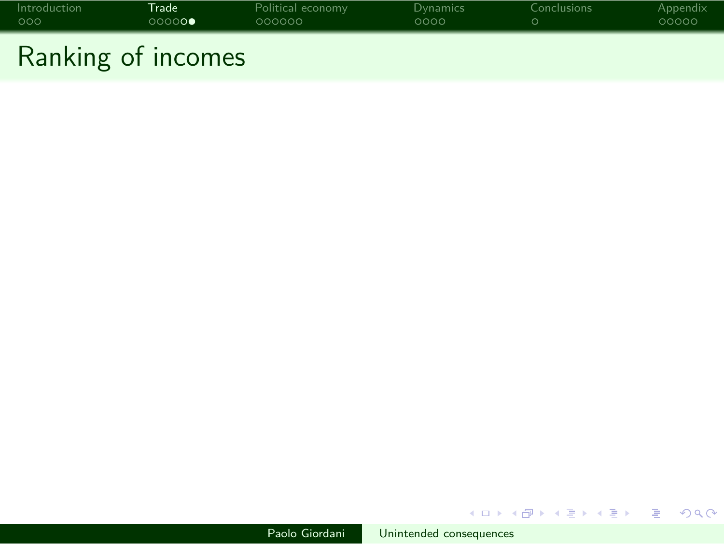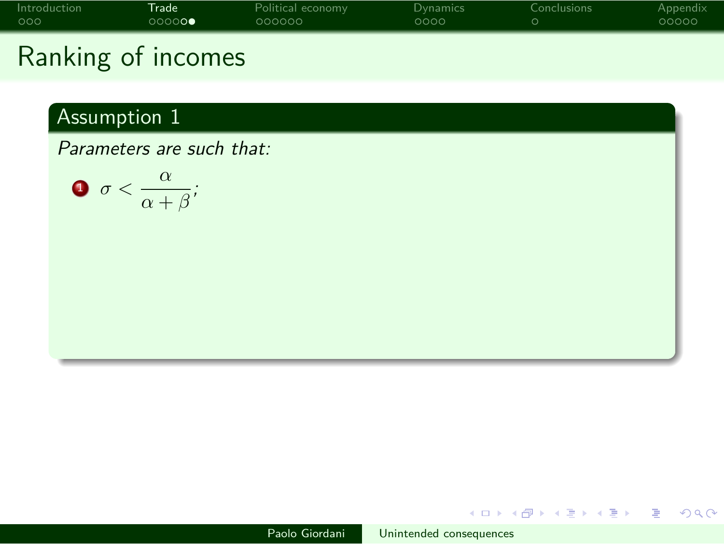

Ranking of incomes

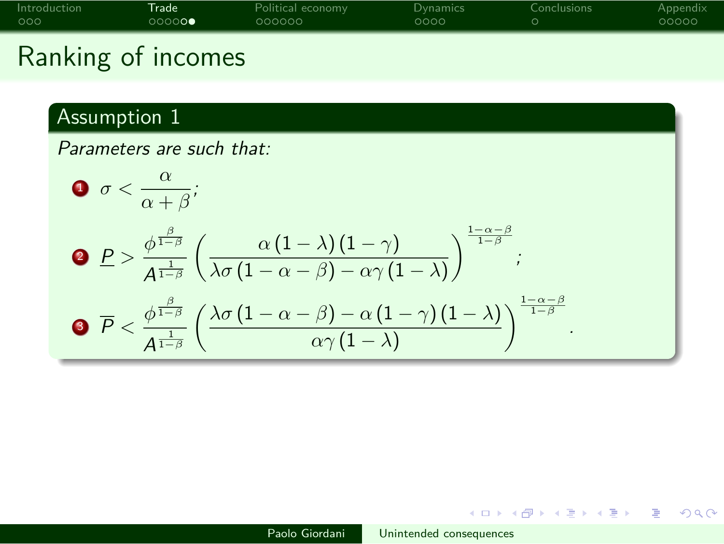Ranking of incomes

Assumption 1  
\nParameters are such that:  
\n
$$
\mathbf{O} \sigma < \frac{\alpha}{\alpha + \beta};
$$
\n
$$
\mathbf{O} \mathbf{P} > \frac{\phi^{\frac{\beta}{1-\beta}}}{A^{\frac{1}{1-\beta}}} \left( \frac{\alpha (1-\lambda)(1-\gamma)}{\lambda \sigma (1-\alpha-\beta) - \alpha \gamma (1-\lambda)} \right)^{\frac{1-\alpha-\beta}{1-\beta}};
$$
\n
$$
\mathbf{O} \mathbf{P} < \frac{\phi^{\frac{\beta}{1-\beta}}}{A^{\frac{1}{1-\beta}}} \left( \frac{\lambda \sigma (1-\alpha-\beta) - \alpha (1-\gamma)(1-\lambda)}{\alpha \gamma (1-\lambda)} \right)^{\frac{1-\alpha-\beta}{1-\beta}}.
$$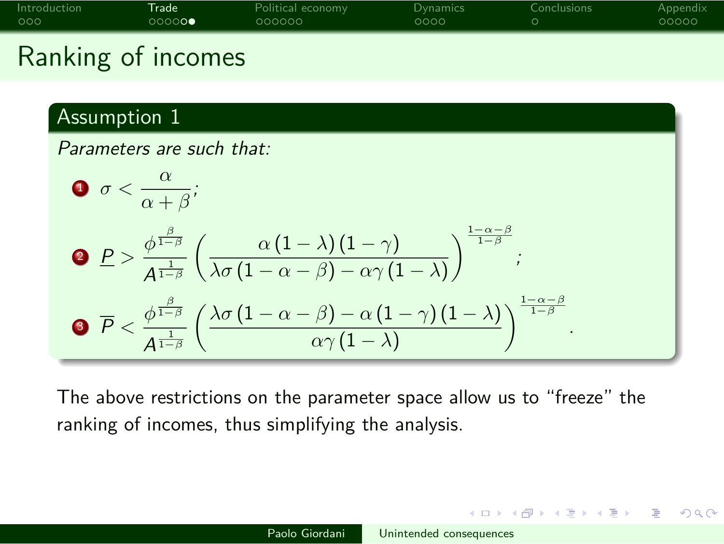# Ranking of incomes

Assumption 1  
\nParameters are such that:  
\n
$$
\sigma < \frac{\alpha}{\alpha + \beta};
$$
\n
$$
\rho > \frac{\phi^{\frac{\beta}{1-\beta}}}{A^{\frac{1}{1-\beta}}} \left( \frac{\alpha (1-\lambda)(1-\gamma)}{\lambda \sigma (1-\alpha-\beta) - \alpha \gamma (1-\lambda)} \right)^{\frac{1-\alpha-\beta}{1-\beta}};
$$
\n
$$
\sigma \overline{P} < \frac{\phi^{\frac{\beta}{1-\beta}}}{A^{\frac{1}{1-\beta}}} \left( \frac{\lambda \sigma (1-\alpha-\beta) - \alpha (1-\gamma)(1-\lambda)}{\alpha \gamma (1-\lambda)} \right)^{\frac{1-\alpha-\beta}{1-\beta}}.
$$

The above restrictions on the parameter space allow us to "freeze" the ranking of incomes, thus simplifying the analysis.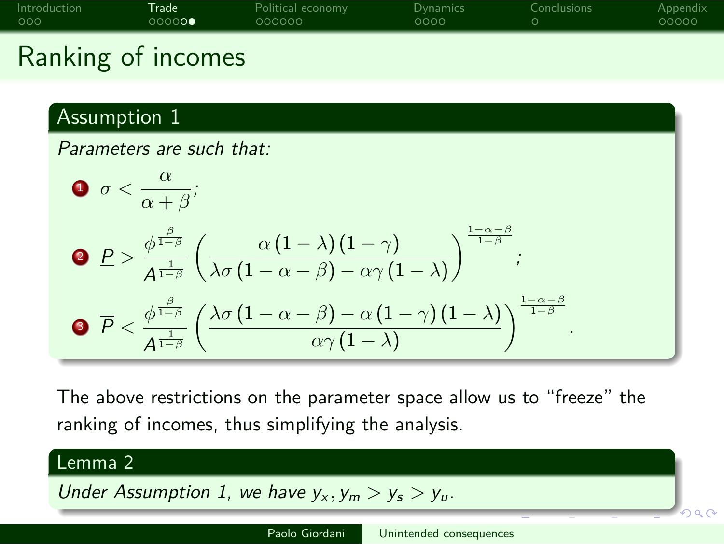Ranking of incomes

#### Assumption 1

Parameters are such that: **1**  $\sigma < \frac{\alpha}{\alpha}$  $\frac{\alpha}{\alpha+\beta}$ ; **2**  $\underline{P} > \frac{\phi^{\frac{\beta}{1-\beta}}}{1}$ A 1 1*−β*  $\alpha(1-\lambda)(1-\gamma)$  $\lambda \sigma (1 − α − β) − αγ (1 − λ)$ )<sup>1</sup>*−α−<sup>β</sup>* 1*−β* ; 3  $\overline{P} < \frac{\phi^{\frac{\beta}{1-\beta}}}{1}$ A 1 1*−β*  $\left(\frac{\lambda \sigma (1 - \alpha - \beta) - \alpha (1 - \gamma)(1 - \lambda)}\right)$  $\alpha\gamma\left(1-\lambda\right)$  $\left\{\n \begin{array}{c}\n \frac{1-\alpha-\beta}{1-\beta} \\
 \end{array}\n\right\}$ 

The above restrictions on the parameter space allow us to "freeze" the ranking of incomes, thus simplifying the analysis.

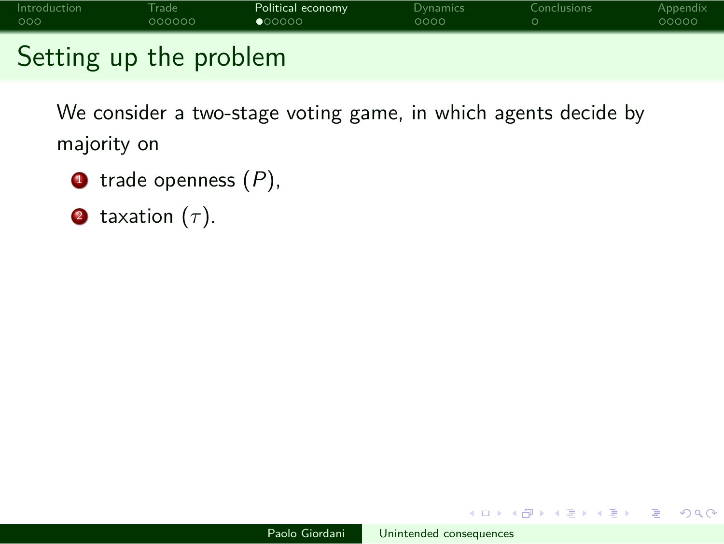

Setting up the problem

We consider a two-stage voting game, in which agents decide by majority on

- $\bullet$  trade openness  $(P)$ ,
- <sup>2</sup> taxation (*τ* ).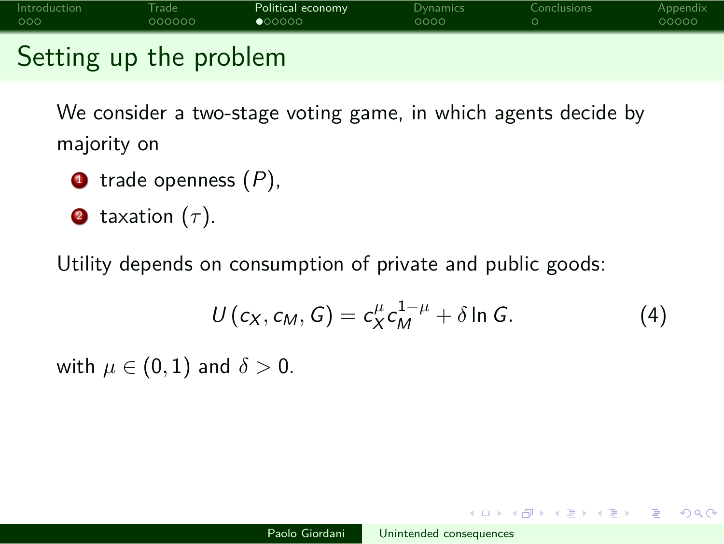# Introduction Trade Political economy Dynamics Conclusions Appendix Setting up the problem

We consider a two-stage voting game, in which agents decide by

majority on

- $\bullet$  trade openness  $(P)$ ,
- 2 taxation  $(\tau)$ .

Utility depends on consumption of private and public goods:

$$
U(c_X, c_M, G) = c_X^{\mu} c_M^{1-\mu} + \delta \ln G. \qquad (4)
$$

with  $\mu \in (0,1)$  and  $\delta > 0$ .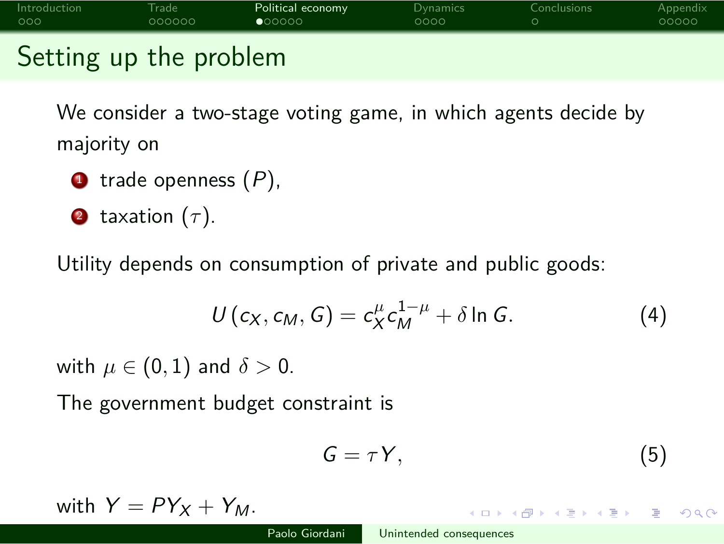Setting up the problem

We consider a two-stage voting game, in which agents decide by majority on

- $\bullet$  trade openness  $(P)$ ,
- 2 taxation  $(\tau)$ .

Utility depends on consumption of private and public goods:

$$
U(c_X, c_M, G) = c_X^{\mu} c_M^{1-\mu} + \delta \ln G. \qquad (4)
$$

with  $\mu \in (0,1)$  and  $\delta > 0$ .

The government budget constraint is

$$
G = \tau Y, \tag{5}
$$

with  $Y = PY_X + Y_M$ .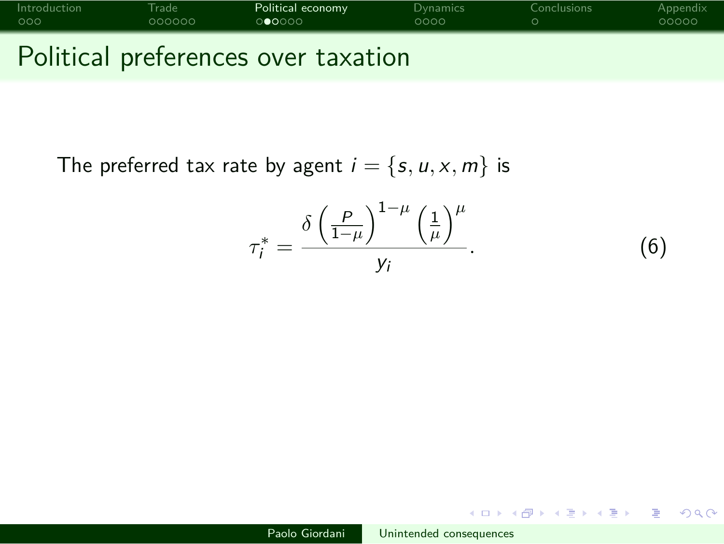# Introduction Trade Political economy Dynamics Conclusions Appendix Political preferences over taxation

The preferred tax rate by agent  $i = \{s, u, x, m\}$  is

$$
\tau_i^* = \frac{\delta \left(\frac{P}{1-\mu}\right)^{1-\mu} \left(\frac{1}{\mu}\right)^{\mu}}{y_i}.
$$
 (6)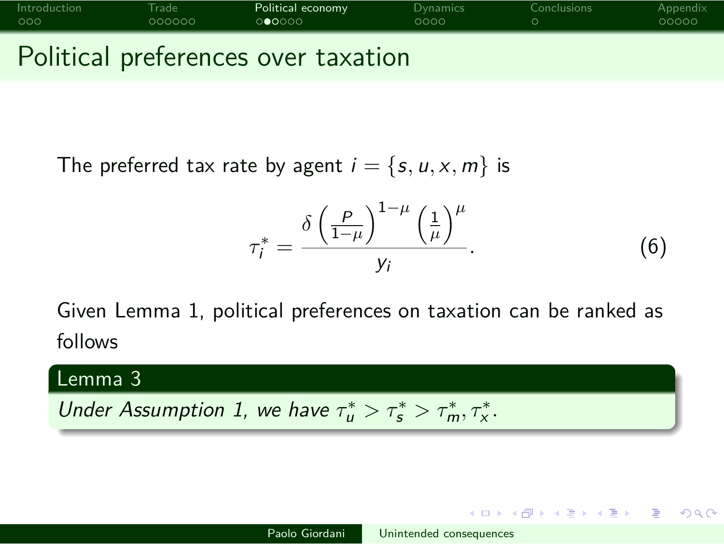# Introduction Trade Political economy Dynamics Conclusions Appendix Political preferences over taxation

The preferred tax rate by agent  $i = \{s, u, x, m\}$  is

$$
\tau_i^* = \frac{\delta \left(\frac{P}{1-\mu}\right)^{1-\mu} \left(\frac{1}{\mu}\right)^{\mu}}{y_i}.
$$
 (6)

Given Lemma 1, political preferences on taxation can be ranked as follows

Lemma 3 Under Assumption 1, we have  $\tau_u^* > \tau_s^* > \tau_m^*, \tau_x^*$ .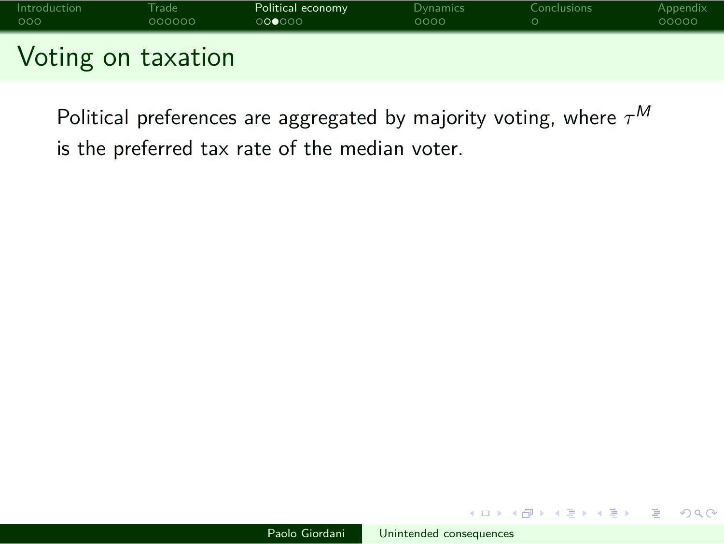

Political preferences are aggregated by majority voting, where *τ* M is the preferred tax rate of the median voter.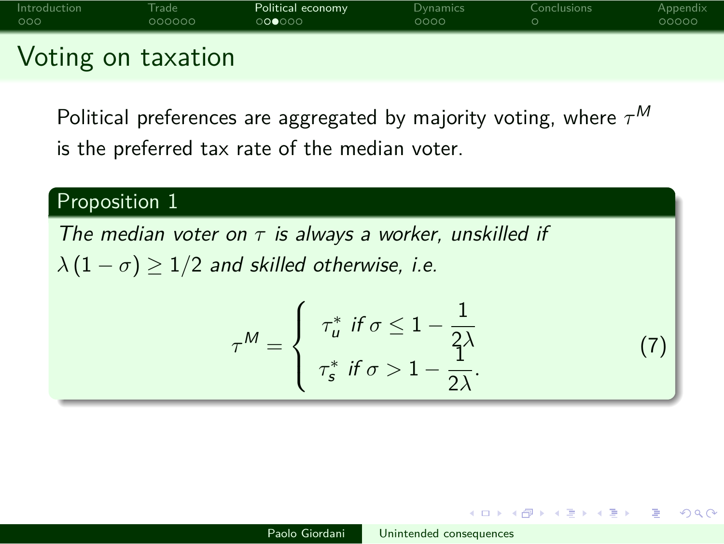# Introduction Trade Political economy Dynamics Conclusions Appendix Voting on taxation

Political preferences are aggregated by majority voting, where *τ* M is the preferred tax rate of the median voter.

### Proposition 1

The median voter on  $\tau$  is always a worker, unskilled if  $\lambda(1 - \sigma) \geq 1/2$  and skilled otherwise, i.e.

$$
\tau^M = \begin{cases}\n\tau_u^* & \text{if } \sigma \le 1 - \frac{1}{2\lambda} \\
\tau_s^* & \text{if } \sigma > 1 - \frac{1}{2\lambda}.\n\end{cases}
$$
\n(7)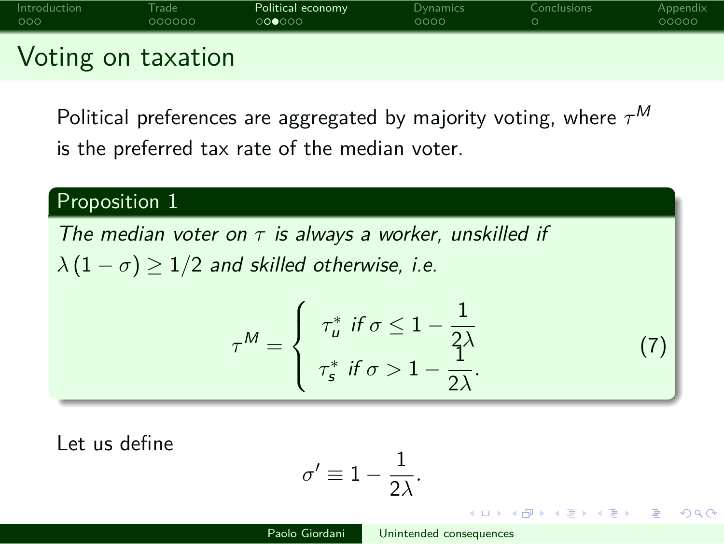# Introduction Trade Political economy Dynamics Conclusions Appendix Voting on taxation

Political preferences are aggregated by majority voting, where *τ* M is the preferred tax rate of the median voter.

### Proposition 1

The median voter on  $\tau$  is always a worker, unskilled if  $\lambda(1 - \sigma) \geq 1/2$  and skilled otherwise, i.e.

$$
\tau^M = \begin{cases}\n\tau_u^* & \text{if } \sigma \le 1 - \frac{1}{2\lambda} \\
\tau_s^* & \text{if } \sigma > 1 - \frac{1}{2\lambda}.\n\end{cases}
$$
\n(7)

Let us define

$$
\sigma' \equiv 1 - \frac{1}{2\lambda}.
$$

 $Q \sim$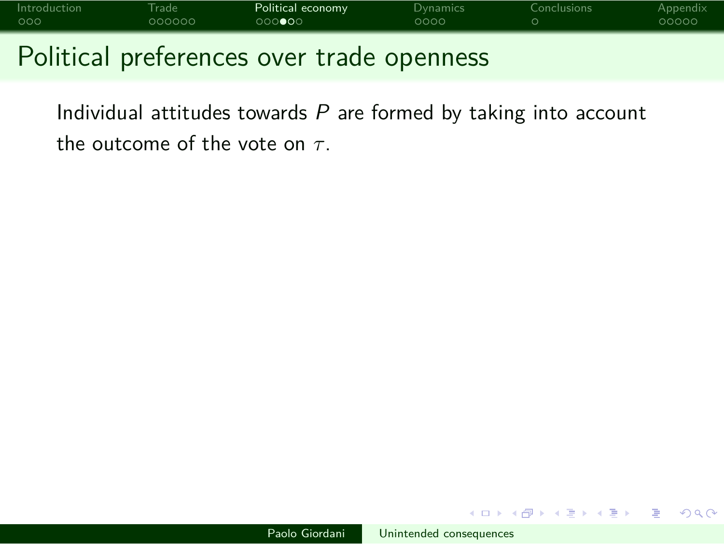

Individual attitudes towards  $P$  are formed by taking into account

the outcome of the vote on *τ* .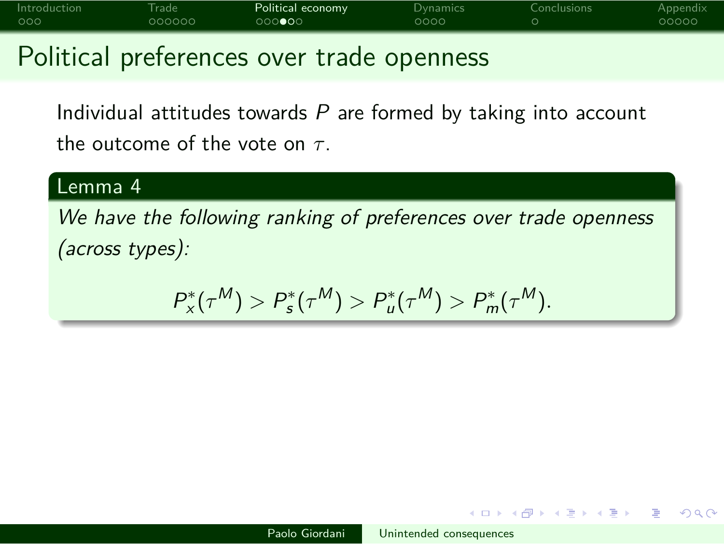Political preferences over trade openness

Individual attitudes towards  $P$  are formed by taking into account the outcome of the vote on *τ* .

#### Lemma 4

We have the following ranking of preferences over trade openness (across types):

$$
P_{x}^{*}(\tau^{M}) > P_{s}^{*}(\tau^{M}) > P_{u}^{*}(\tau^{M}) > P_{m}^{*}(\tau^{M}).
$$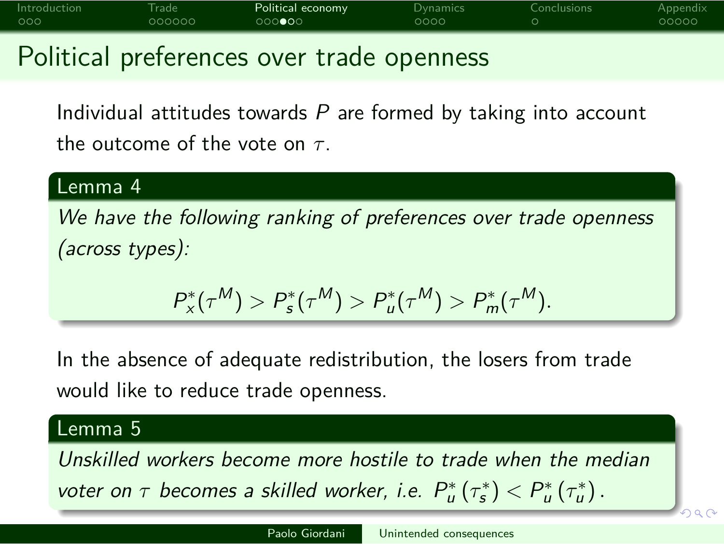### Introduction Trade **Political economy** Dynamics Conclusions Appendix Political preferences over trade openness

Individual attitudes towards  $P$  are formed by taking into account the outcome of the vote on *τ* .

#### Lemma 4

We have the following ranking of preferences over trade openness (across types):

 $P_{\mathsf{x}}^*(\tau^M) > P_{\mathsf{s}}^*(\tau^M) > P_{\mathsf{u}}^*(\tau^M) > P_{\mathsf{m}}^*(\tau^M).$ 

In the absence of adequate redistribution, the losers from trade would like to reduce trade openness.

#### Lemma 5

voter on  $\tau$  becomes a skilled worker, i.e.  $P_u^*(\tau_s^*)$   $\lt P_u^*(\tau_u^*)$ . Unskilled workers become more hostile to trade when the median

. . . .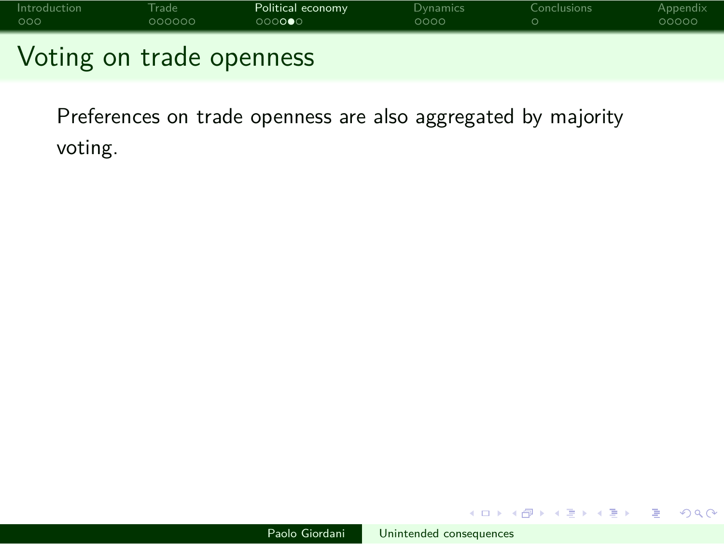

Preferences on trade openness are also aggregated by majority voting.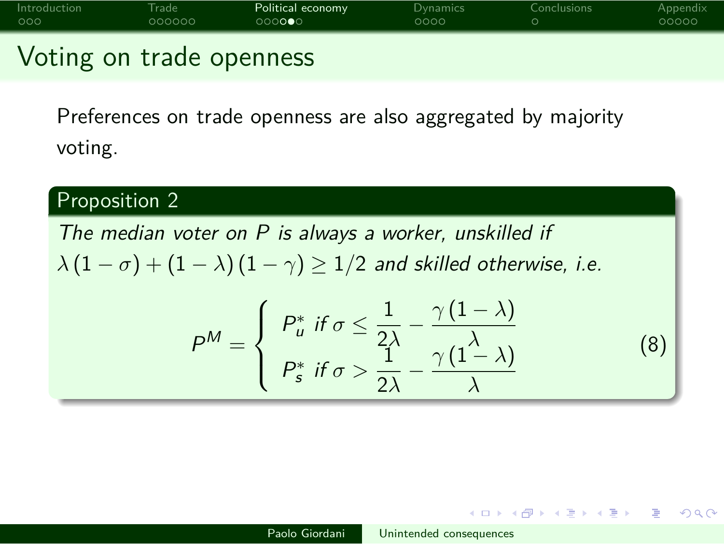

Preferences on trade openness are also aggregated by majority voting.

#### Proposition 2 The median voter on  $P$  is always a worker, unskilled if  $\lambda (1 - \sigma) + (1 - \lambda) (1 - \gamma) \ge 1/2$  and skilled otherwise, i.e.  $P^M =$  $\sqrt{ }$  $\int$  $\overline{\mathcal{L}}$  $P_u^*$  if  $\sigma \leq \frac{1}{2}$  $\frac{1}{2\lambda} - \frac{\gamma(1-\lambda)}{\lambda}$ *λ*  $P_s^*$  if  $\sigma > \frac{1}{2}$  $\frac{1}{2\lambda} - \frac{\gamma(1-\lambda)}{\lambda}$ *λ* (8)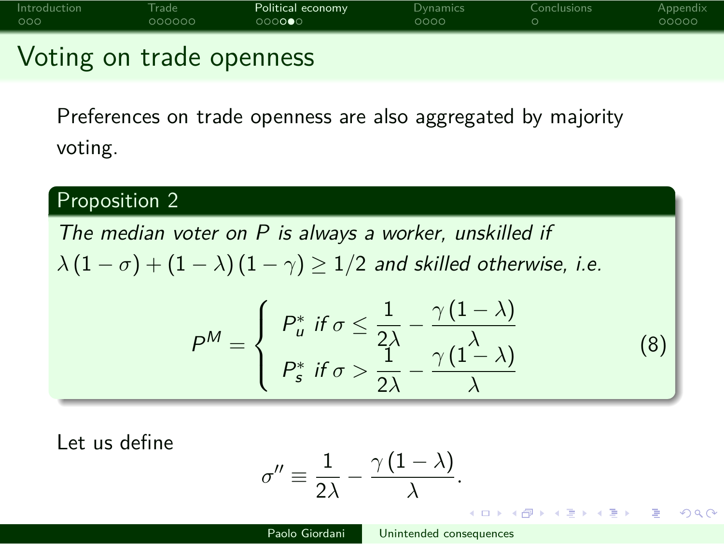

Preferences on trade openness are also aggregated by majority voting.

### Proposition 2

The median voter on  $P$  is always a worker, unskilled if  $\lambda (1 - \sigma) + (1 - \lambda) (1 - \gamma) \geq 1/2$  and skilled otherwise, i.e.

$$
P^{M} = \begin{cases} P_{u}^{*} & \text{if } \sigma \leq \frac{1}{2\lambda} - \frac{\gamma(1-\lambda)}{\lambda} \\ P_{s}^{*} & \text{if } \sigma > \frac{1}{2\lambda} - \frac{\gamma(1-\lambda)}{\lambda} \end{cases}
$$
(8)

Let us define

$$
\sigma'' \equiv \frac{1}{2\lambda} - \frac{\gamma(1-\lambda)}{\lambda}.
$$
  
Paolo Giordani  
Unintended consequences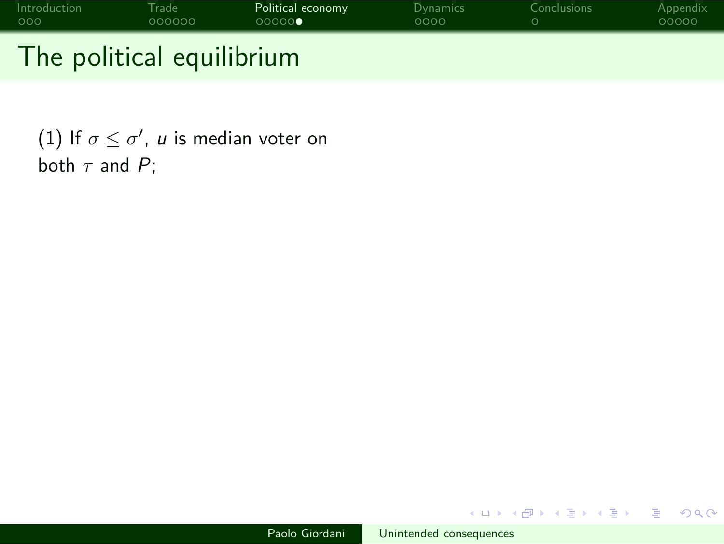# Introduction Trade Political economy Dynamics Conclusions Appendix The political equilibrium

(1) If  $\sigma \leq \sigma'$ ,  $u$  is median voter on both  $\tau$  and  $P$ ;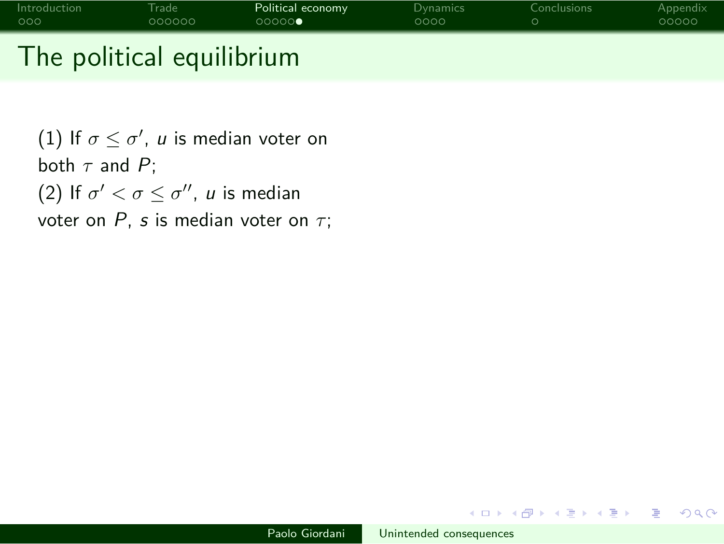# Introduction Trade Political economy Dynamics Conclusions Appendix The political equilibrium

(1) If  $\sigma \leq \sigma'$ ,  $u$  is median voter on both  $\tau$  and  $P$ ; (2) If  $\sigma' < \sigma \leq \sigma''$ , *u* is median voter on *P*, *s* is median voter on *τ*;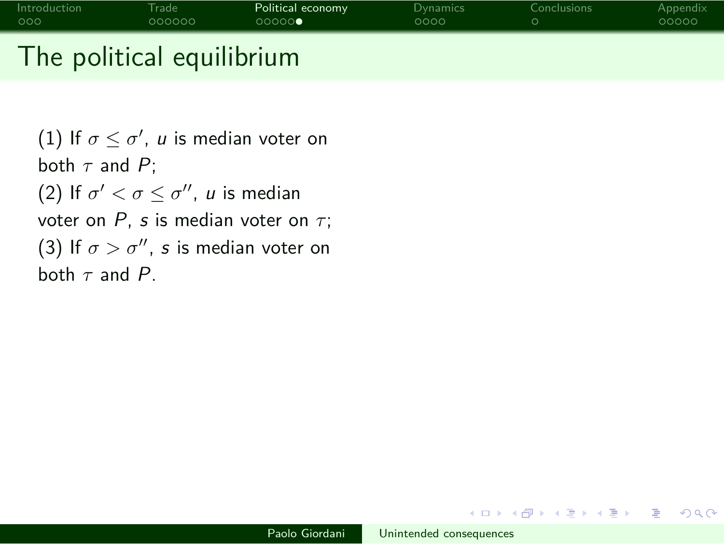# Introduction Trade Political economy Dynamics Conclusions Appendix The political equilibrium

(1) If  $\sigma \leq \sigma'$ ,  $u$  is median voter on both *τ* and P; (2) If  $\sigma' < \sigma \leq \sigma''$ , *u* is median voter on *P*, *s* is median voter on *τ*; (3) If  $\sigma > \sigma''$ , s is median voter on both *τ* and P.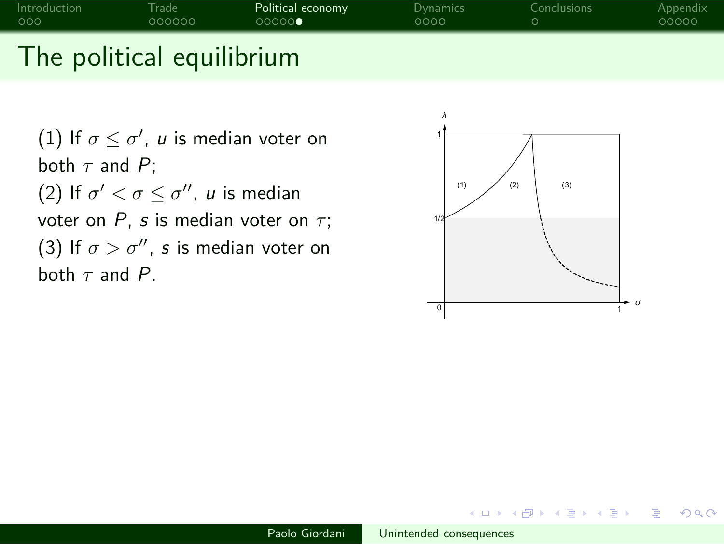# Introduction Trade **Political economy** Dynamics Conclusions Appendix Conclusions Appendix Conclusions and COOOC The political equilibrium

(1) If  $\sigma \leq \sigma'$ ,  $u$  is median voter on both  $\tau$  and  $P$ ; (2) If  $\sigma' < \sigma \leq \sigma''$ , *u* is median voter on *P*, *s* is median voter on *τ*; (3) If  $\sigma > \sigma''$ , s is median voter on both *τ* and P.

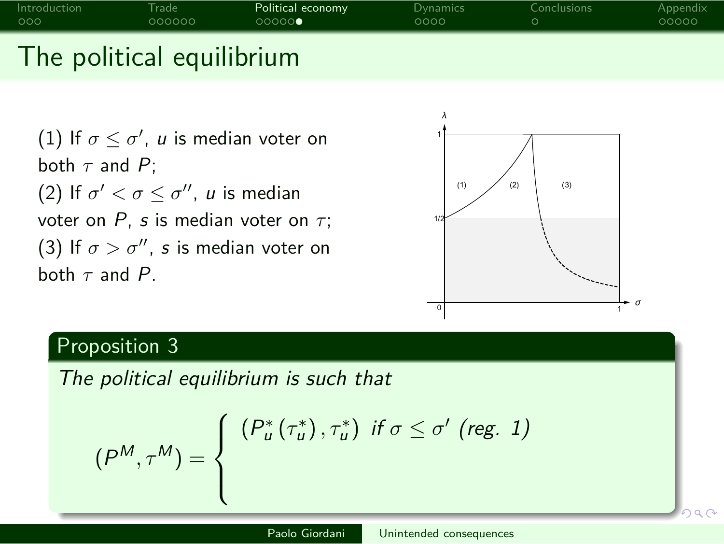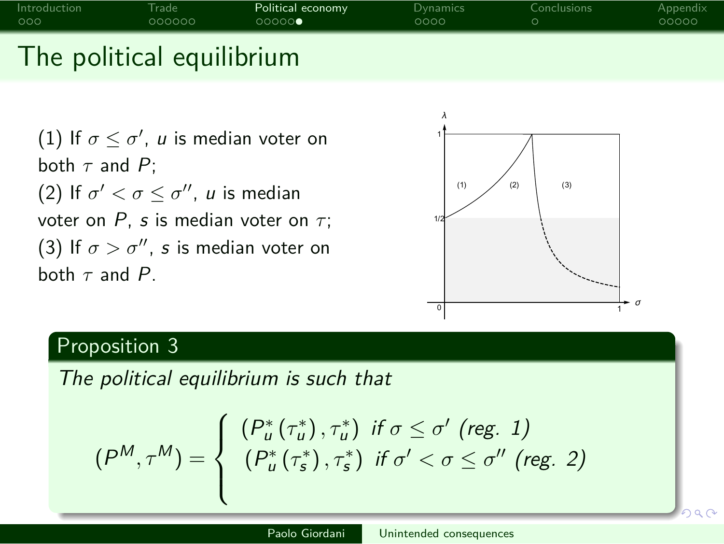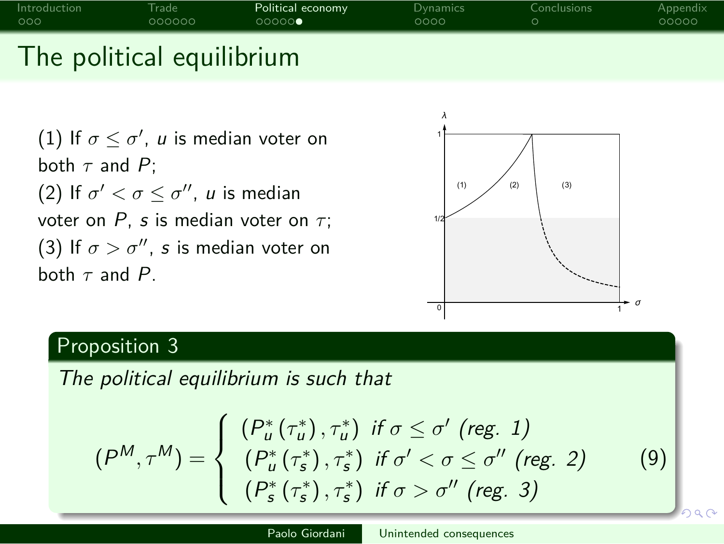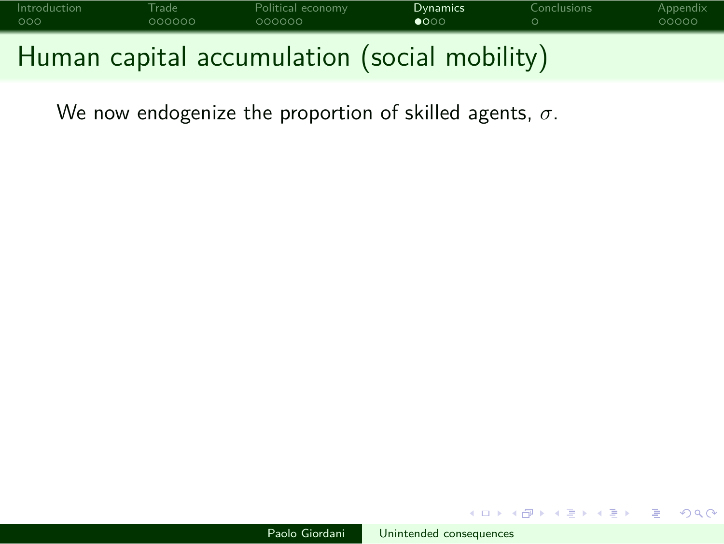

We now endogenize the proportion of skilled agents, *σ*.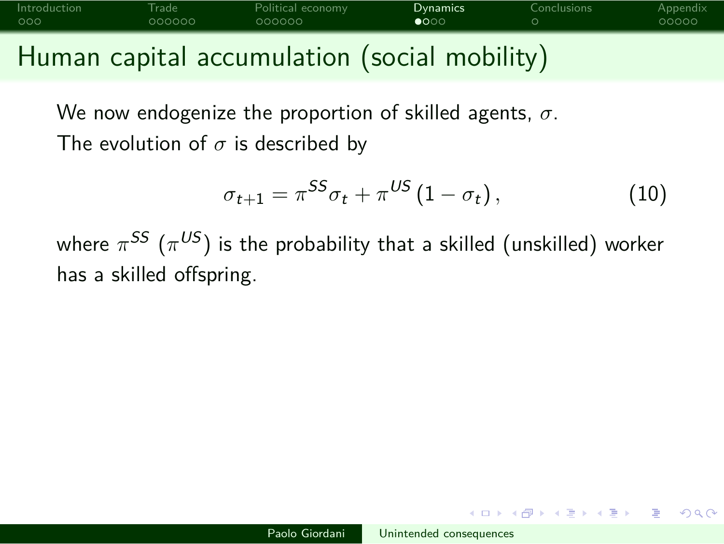# Introduction Trade Political economy **Dynamics** Conclusions Appendix Human capital accumulation (social mobility)

We now endogenize the proportion of skilled agents, *σ*. The evolution of *σ* is described by

$$
\sigma_{t+1} = \pi^{SS} \sigma_t + \pi^{US} (1 - \sigma_t), \qquad (10)
$$

where  $\pi^{SS}$   $(\pi^{US})$  is the probability that a skilled (unskilled) worker has a skilled offspring.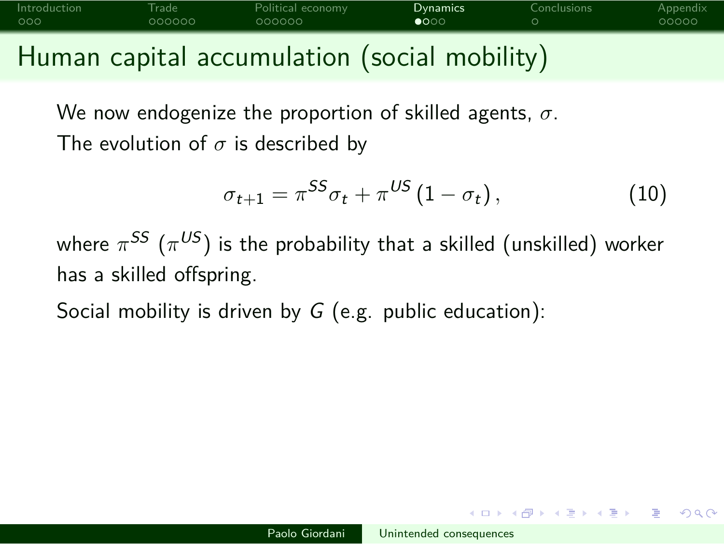# Introduction Trade Political economy **Dynamics** Conclusions Appendix Human capital accumulation (social mobility)

We now endogenize the proportion of skilled agents, *σ*.

The evolution of *σ* is described by

$$
\sigma_{t+1} = \pi^{SS} \sigma_t + \pi^{US} (1 - \sigma_t), \qquad (10)
$$

where  $\pi^{SS}$   $(\pi^{US})$  is the probability that a skilled (unskilled) worker has a skilled offspring.

Social mobility is driven by  $G$  (e.g. public education):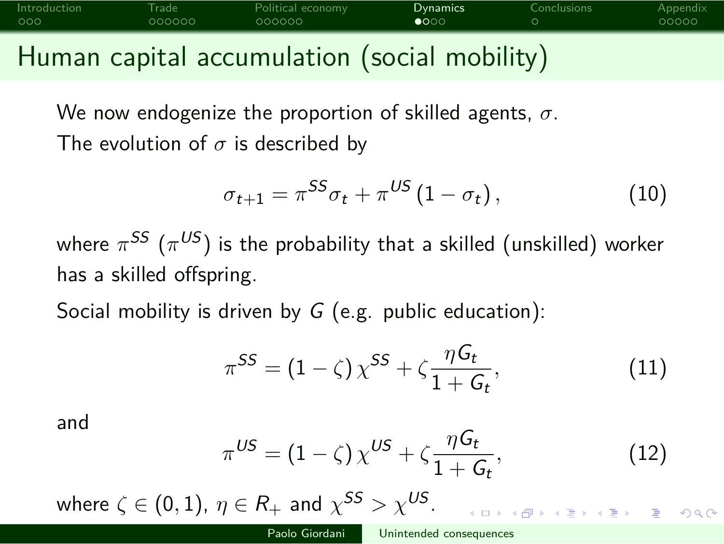## Introduction Trade Political economy **Dynamics** Conclusions Appendix Human capital accumulation (social mobility)

We now endogenize the proportion of skilled agents, *σ*.

The evolution of *σ* is described by

$$
\sigma_{t+1} = \pi^{SS} \sigma_t + \pi^{US} (1 - \sigma_t), \qquad (10)
$$

where  $\pi^{SS}$   $(\pi^{US})$  is the probability that a skilled (unskilled) worker has a skilled offspring.

Social mobility is driven by  $G$  (e.g. public education):

$$
\pi^{SS} = (1 - \zeta) \chi^{SS} + \zeta \frac{\eta G_t}{1 + G_t},\tag{11}
$$

and

$$
\pi^{US} = (1 - \zeta) \chi^{US} + \zeta \frac{\eta G_t}{1 + G_t},\tag{12}
$$

 $\equiv$  990

$$
\text{where } \zeta \in (0,1), \ \eta \in R_+ \text{ and } \chi^{SS} > \chi^{US}.
$$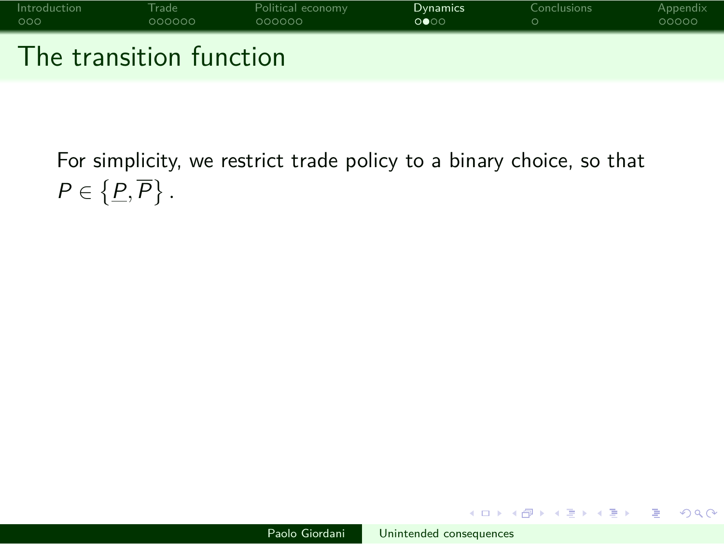

For simplicity, we restrict trade policy to a binary choice, so that  $P \in \{ \underline{P}, \overline{P} \}$ .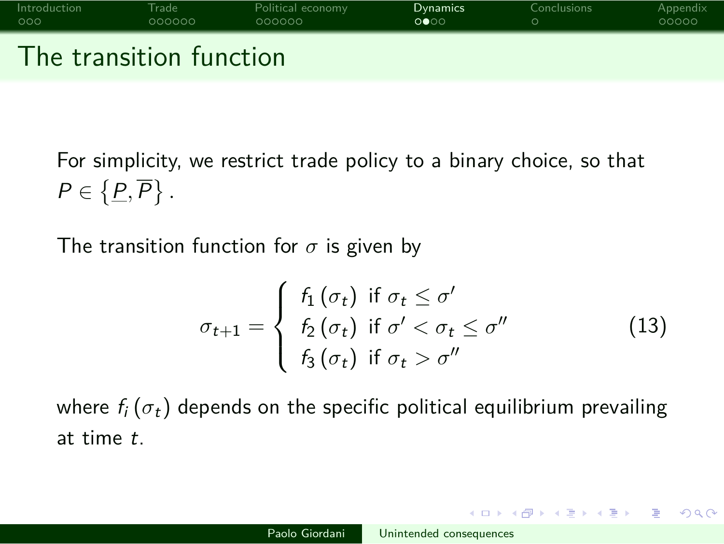

For simplicity, we restrict trade policy to a binary choice, so that  $P \in \{ \underline{P}, \overline{P} \}$ .

The transition function for *σ* is given by

$$
\sigma_{t+1} = \begin{cases} f_1(\sigma_t) & \text{if } \sigma_t \leq \sigma' \\ f_2(\sigma_t) & \text{if } \sigma' < \sigma_t \leq \sigma'' \\ f_3(\sigma_t) & \text{if } \sigma_t > \sigma'' \end{cases}
$$
(13)

where  $f_i(\sigma_t)$  depends on the specific political equilibrium prevailing at time t.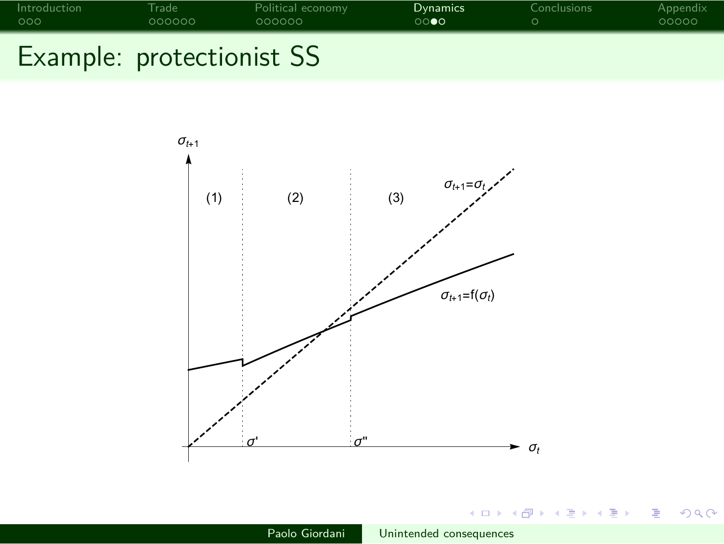

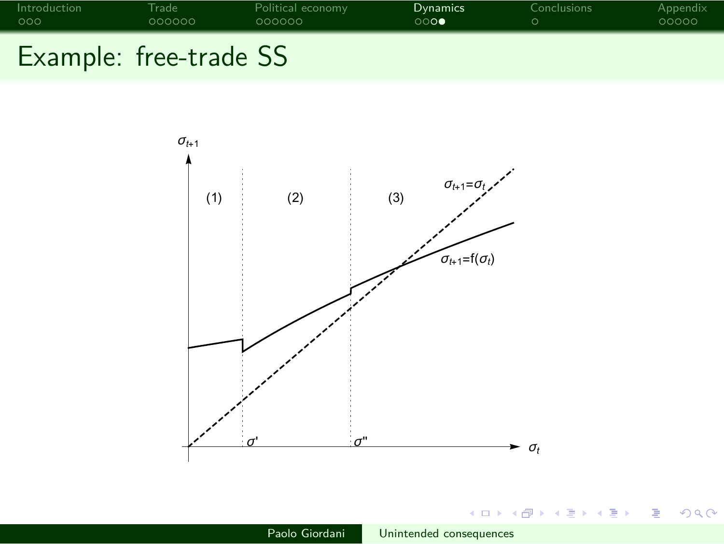

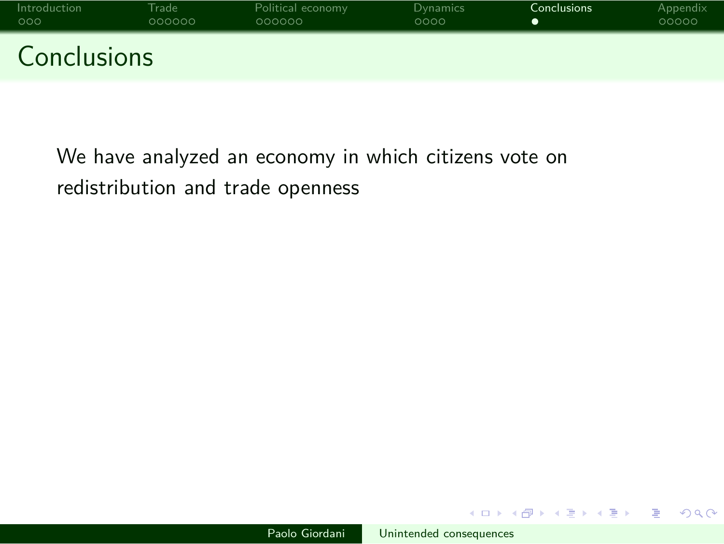

We have analyzed an economy in which citizens vote on redistribution and trade openness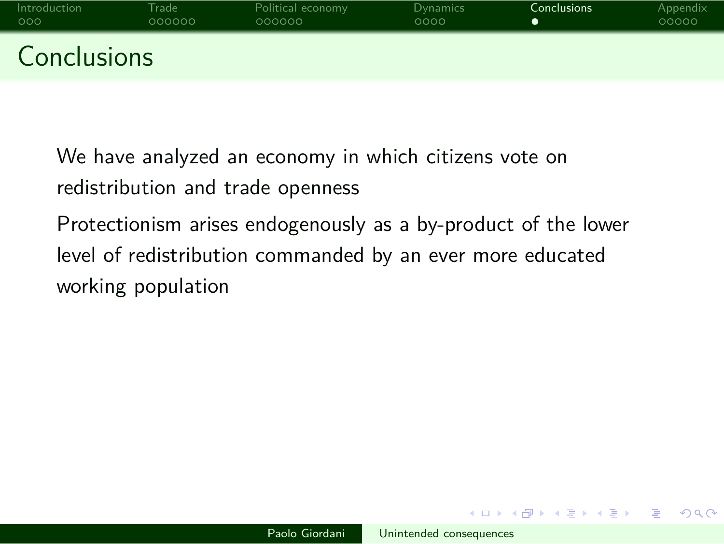We have analyzed an economy in which citizens vote on redistribution and trade openness

Protectionism arises endogenously as a by-product of the lower level of redistribution commanded by an ever more educated working population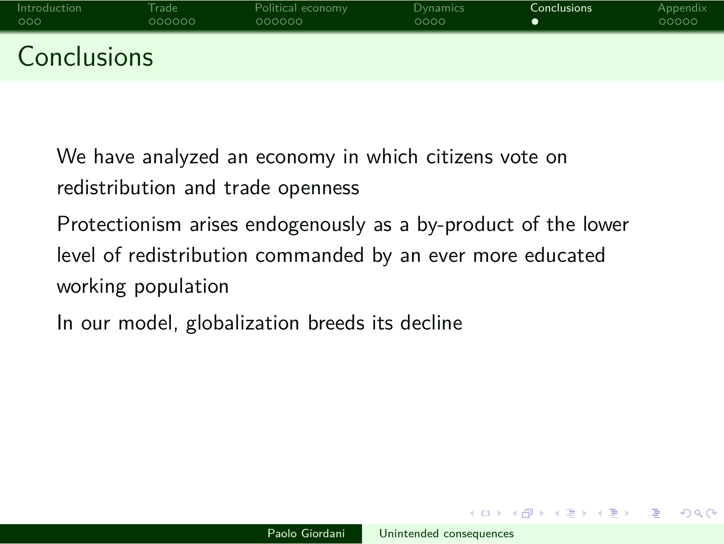We have analyzed an economy in which citizens vote on redistribution and trade openness

Protectionism arises endogenously as a by-product of the lower level of redistribution commanded by an ever more educated working population

In our model, globalization breeds its decline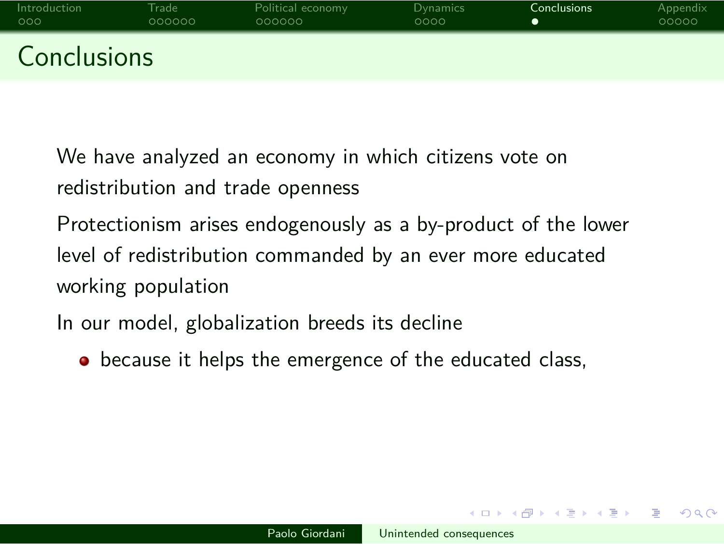We have analyzed an economy in which citizens vote on redistribution and trade openness

Protectionism arises endogenously as a by-product of the lower level of redistribution commanded by an ever more educated working population

In our model, globalization breeds its decline

 $\bullet$  because it helps the emergence of the educated class,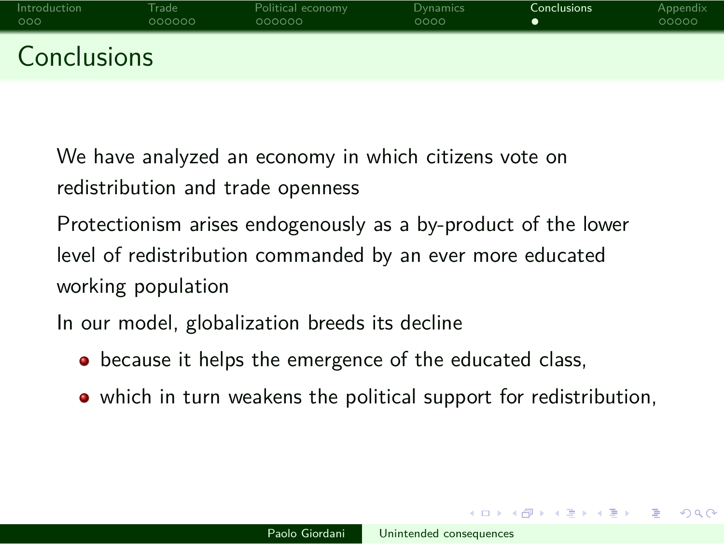We have analyzed an economy in which citizens vote on redistribution and trade openness

Protectionism arises endogenously as a by-product of the lower level of redistribution commanded by an ever more educated working population

In our model, globalization breeds its decline

- $\bullet$  because it helps the emergence of the educated class,
- which in turn weakens the political support for redistribution,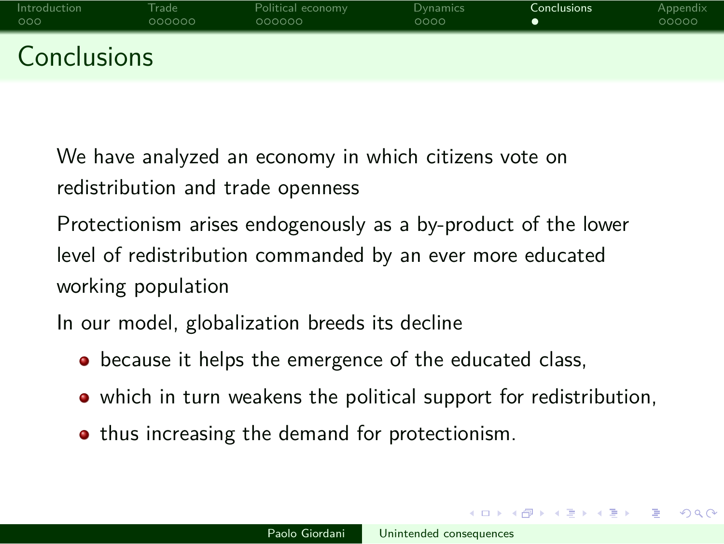We have analyzed an economy in which citizens vote on redistribution and trade openness

Protectionism arises endogenously as a by-product of the lower level of redistribution commanded by an ever more educated working population

In our model, globalization breeds its decline

- $\bullet$  because it helps the emergence of the educated class,
- which in turn weakens the political support for redistribution,
- $\bullet$  thus increasing the demand for protectionism.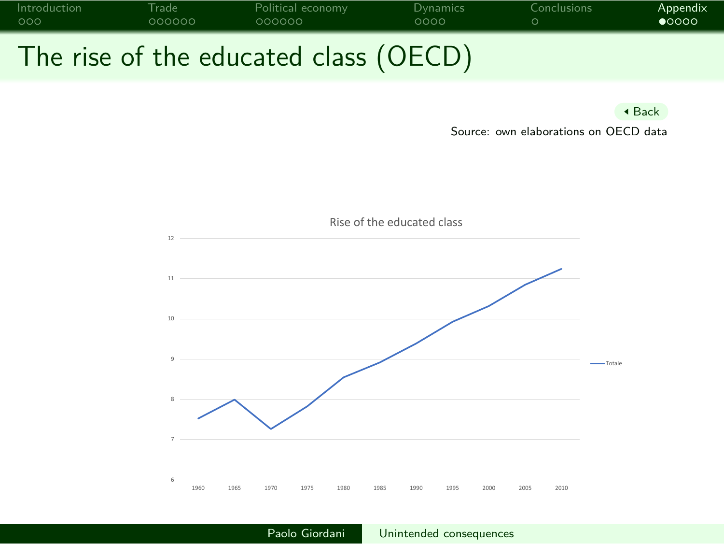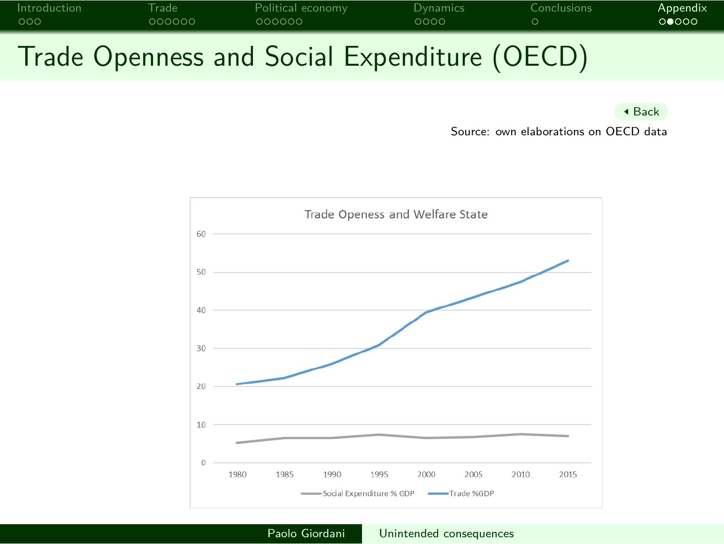

Back

Source: own elaborations on OECD data

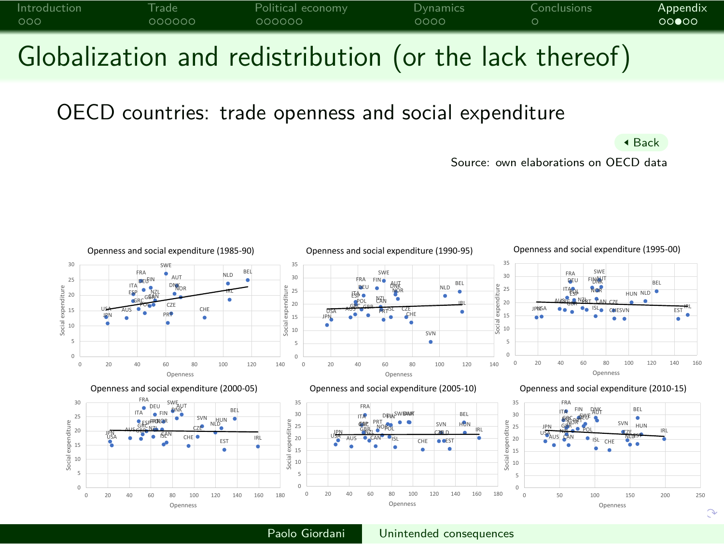

Source: own elaborations on OECD data

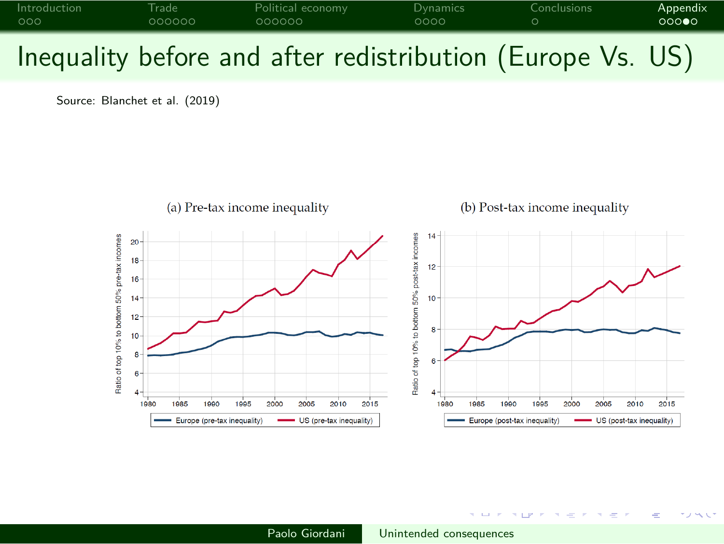

Source: Blanchet et al. (2019)



Paolo Giordani Unintended consequences